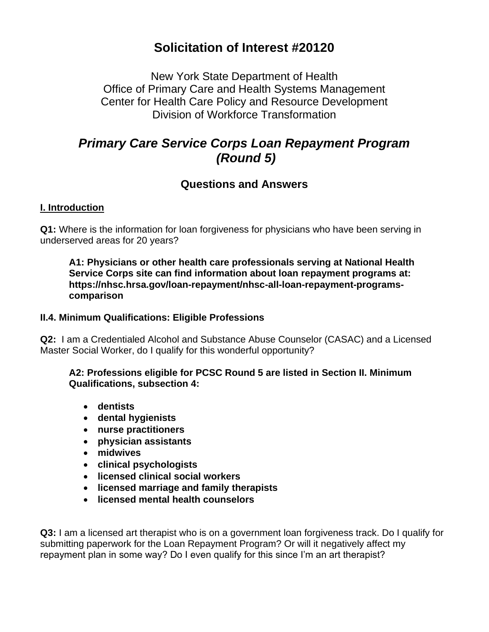# **Solicitation of Interest #20120**

New York State Department of Health Office of Primary Care and Health Systems Management Center for Health Care Policy and Resource Development Division of Workforce Transformation

# *Primary Care Service Corps Loan Repayment Program (Round 5)*

# **Questions and Answers**

## **I. Introduction**

**Q1:** Where is the information for loan forgiveness for physicians who have been serving in underserved areas for 20 years?

**A1: Physicians or other health care professionals serving at National Health Service Corps site can find information about loan repayment programs at: https://nhsc.hrsa.gov/loan-repayment/nhsc-all-loan-repayment-programscomparison**

## **II.4. Minimum Qualifications: Eligible Professions**

**Q2:** I am a Credentialed Alcohol and Substance Abuse Counselor (CASAC) and a Licensed Master Social Worker, do I qualify for this wonderful opportunity?

### **A2: Professions eligible for PCSC Round 5 are listed in Section II. Minimum Qualifications, subsection 4:**

- **dentists**
- **dental hygienists**
- **nurse practitioners**
- **physician assistants**
- **midwives**
- **clinical psychologists**
- **licensed clinical social workers**
- **licensed marriage and family therapists**
- **licensed mental health counselors**

**Q3:** I am a licensed art therapist who is on a government loan forgiveness track. Do I qualify for submitting paperwork for the Loan Repayment Program? Or will it negatively affect my repayment plan in some way? Do I even qualify for this since I'm an art therapist?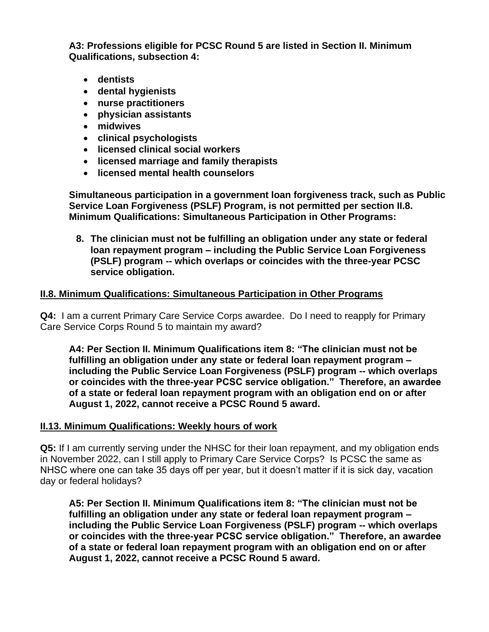**A3: Professions eligible for PCSC Round 5 are listed in Section II. Minimum Qualifications, subsection 4:**

- **dentists**
- **dental hygienists**
- **nurse practitioners**
- **physician assistants**
- **midwives**
- **clinical psychologists**
- **licensed clinical social workers**
- **licensed marriage and family therapists**
- **licensed mental health counselors**

**Simultaneous participation in a government loan forgiveness track, such as Public Service Loan Forgiveness (PSLF) Program, is not permitted per section II.8. Minimum Qualifications: Simultaneous Participation in Other Programs:**

**8. The clinician must not be fulfilling an obligation under any state or federal loan repayment program – including the Public Service Loan Forgiveness (PSLF) program -- which overlaps or coincides with the three-year PCSC service obligation.** 

### **II.8. Minimum Qualifications: Simultaneous Participation in Other Programs**

**Q4:** I am a current Primary Care Service Corps awardee. Do I need to reapply for Primary Care Service Corps Round 5 to maintain my award?

**A4: Per Section II. Minimum Qualifications item 8: "The clinician must not be fulfilling an obligation under any state or federal loan repayment program – including the Public Service Loan Forgiveness (PSLF) program -- which overlaps or coincides with the three-year PCSC service obligation." Therefore, an awardee of a state or federal loan repayment program with an obligation end on or after August 1, 2022, cannot receive a PCSC Round 5 award.**

#### **II.13. Minimum Qualifications: Weekly hours of work**

**Q5:** If I am currently serving under the NHSC for their loan repayment, and my obligation ends in November 2022, can I still apply to Primary Care Service Corps? Is PCSC the same as NHSC where one can take 35 days off per year, but it doesn't matter if it is sick day, vacation day or federal holidays?

**A5: Per Section II. Minimum Qualifications item 8: "The clinician must not be fulfilling an obligation under any state or federal loan repayment program – including the Public Service Loan Forgiveness (PSLF) program -- which overlaps or coincides with the three-year PCSC service obligation." Therefore, an awardee of a state or federal loan repayment program with an obligation end on or after August 1, 2022, cannot receive a PCSC Round 5 award.**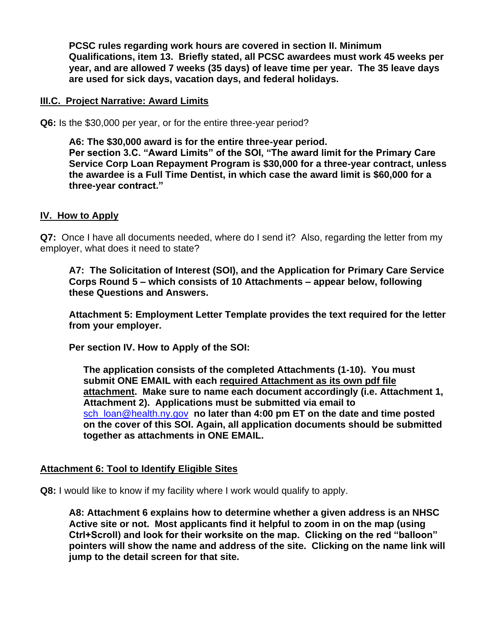**PCSC rules regarding work hours are covered in section II. Minimum Qualifications, item 13. Briefly stated, all PCSC awardees must work 45 weeks per year, and are allowed 7 weeks (35 days) of leave time per year. The 35 leave days are used for sick days, vacation days, and federal holidays.**

#### **III.C. Project Narrative: Award Limits**

**Q6:** Is the \$30,000 per year, or for the entire three-year period?

**A6: The \$30,000 award is for the entire three-year period. Per section 3.C. "Award Limits" of the SOI, "The award limit for the Primary Care Service Corp Loan Repayment Program is \$30,000 for a three-year contract, unless the awardee is a Full Time Dentist, in which case the award limit is \$60,000 for a three-year contract."** 

#### **IV. How to Apply**

**Q7:** Once I have all documents needed, where do I send it? Also, regarding the letter from my employer, what does it need to state?

**A7: The Solicitation of Interest (SOI), and the Application for Primary Care Service Corps Round 5 – which consists of 10 Attachments – appear below, following these Questions and Answers.**

**Attachment 5: Employment Letter Template provides the text required for the letter from your employer.**

**Per section IV. How to Apply of the SOI:**

**The application consists of the completed Attachments (1-10). You must submit ONE EMAIL with each required Attachment as its own pdf file attachment. Make sure to name each document accordingly (i.e. Attachment 1, Attachment 2). Applications must be submitted via email to** [sch\\_loan@health.ny.gov](mailto:sch_loan@health.ny.gov) **no later than 4:00 pm ET on the date and time posted on the cover of this SOI. Again, all application documents should be submitted together as attachments in ONE EMAIL.**

#### **Attachment 6: Tool to Identify Eligible Sites**

**Q8:** I would like to know if my facility where I work would qualify to apply.

**A8: Attachment 6 explains how to determine whether a given address is an NHSC Active site or not. Most applicants find it helpful to zoom in on the map (using Ctrl+Scroll) and look for their worksite on the map. Clicking on the red "balloon" pointers will show the name and address of the site. Clicking on the name link will jump to the detail screen for that site.**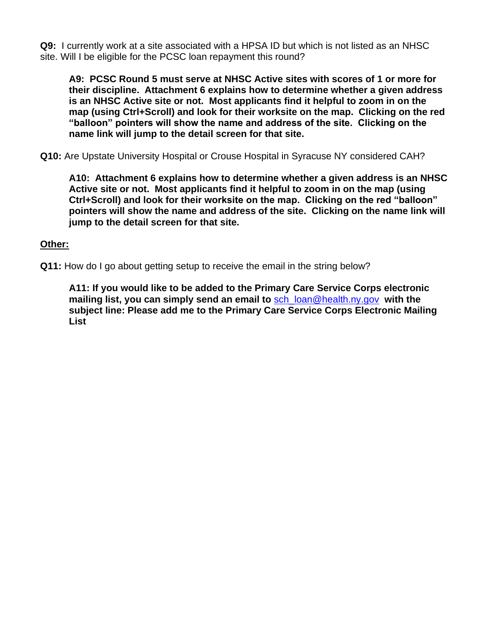**Q9:** I currently work at a site associated with a HPSA ID but which is not listed as an NHSC site. Will I be eligible for the PCSC loan repayment this round?

**A9: PCSC Round 5 must serve at NHSC Active sites with scores of 1 or more for their discipline. Attachment 6 explains how to determine whether a given address is an NHSC Active site or not. Most applicants find it helpful to zoom in on the map (using Ctrl+Scroll) and look for their worksite on the map. Clicking on the red "balloon" pointers will show the name and address of the site. Clicking on the name link will jump to the detail screen for that site.**

**Q10:** Are Upstate University Hospital or Crouse Hospital in Syracuse NY considered CAH?

**A10: Attachment 6 explains how to determine whether a given address is an NHSC Active site or not. Most applicants find it helpful to zoom in on the map (using Ctrl+Scroll) and look for their worksite on the map. Clicking on the red "balloon" pointers will show the name and address of the site. Clicking on the name link will jump to the detail screen for that site.**

### **Other:**

**Q11:** How do I go about getting setup to receive the email in the string below?

**A11: If you would like to be added to the Primary Care Service Corps electronic mailing list, you can simply send an email to** [sch\\_loan@health.ny.gov](mailto:sch_loan@health.ny.gov) **with the subject line: Please add me to the Primary Care Service Corps Electronic Mailing List**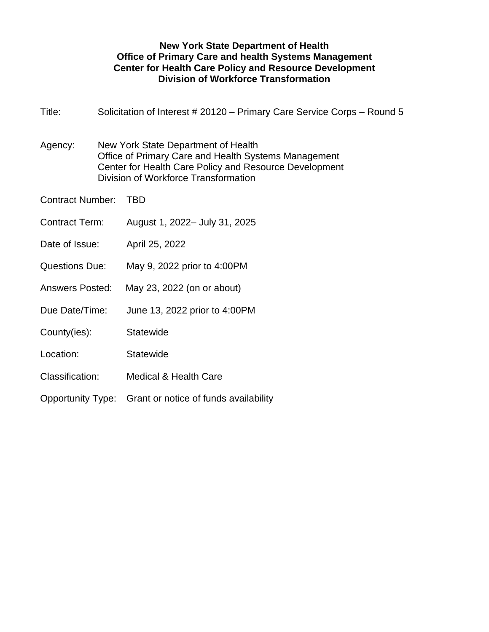### **New York State Department of Health Office of Primary Care and health Systems Management Center for Health Care Policy and Resource Development Division of Workforce Transformation**

| Title:                  |  | Solicitation of Interest # 20120 – Primary Care Service Corps – Round 5                                                                                                                       |  |  |  |
|-------------------------|--|-----------------------------------------------------------------------------------------------------------------------------------------------------------------------------------------------|--|--|--|
| Agency:                 |  | New York State Department of Health<br>Office of Primary Care and Health Systems Management<br>Center for Health Care Policy and Resource Development<br>Division of Workforce Transformation |  |  |  |
| <b>Contract Number:</b> |  | <b>TBD</b>                                                                                                                                                                                    |  |  |  |
| <b>Contract Term:</b>   |  | August 1, 2022- July 31, 2025                                                                                                                                                                 |  |  |  |
| Date of Issue:          |  | April 25, 2022                                                                                                                                                                                |  |  |  |
| <b>Questions Due:</b>   |  | May 9, 2022 prior to 4:00PM                                                                                                                                                                   |  |  |  |
| <b>Answers Posted:</b>  |  | May 23, 2022 (on or about)                                                                                                                                                                    |  |  |  |
| Due Date/Time:          |  | June 13, 2022 prior to 4:00PM                                                                                                                                                                 |  |  |  |
| County(ies):            |  | <b>Statewide</b>                                                                                                                                                                              |  |  |  |
| Location:               |  | <b>Statewide</b>                                                                                                                                                                              |  |  |  |
| Classification:         |  | <b>Medical &amp; Health Care</b>                                                                                                                                                              |  |  |  |
| Opportunity Type:       |  | Grant or notice of funds availability                                                                                                                                                         |  |  |  |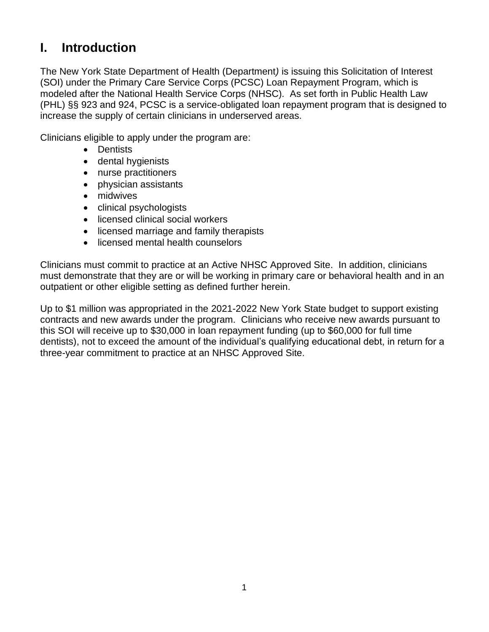# **I. Introduction**

The New York State Department of Health (Department*)* is issuing this Solicitation of Interest (SOI) under the Primary Care Service Corps (PCSC) Loan Repayment Program, which is modeled after the National Health Service Corps (NHSC). As set forth in Public Health Law (PHL) §§ 923 and 924, PCSC is a service-obligated loan repayment program that is designed to increase the supply of certain clinicians in underserved areas.

Clinicians eligible to apply under the program are:

- Dentists
- dental hygienists
- nurse practitioners
- physician assistants
- midwives
- clinical psychologists
- licensed clinical social workers
- licensed marriage and family therapists
- licensed mental health counselors

Clinicians must commit to practice at an Active NHSC Approved Site. In addition, clinicians must demonstrate that they are or will be working in primary care or behavioral health and in an outpatient or other eligible setting as defined further herein.

Up to \$1 million was appropriated in the 2021-2022 New York State budget to support existing contracts and new awards under the program. Clinicians who receive new awards pursuant to this SOI will receive up to \$30,000 in loan repayment funding (up to \$60,000 for full time dentists), not to exceed the amount of the individual's qualifying educational debt, in return for a three-year commitment to practice at an NHSC Approved Site.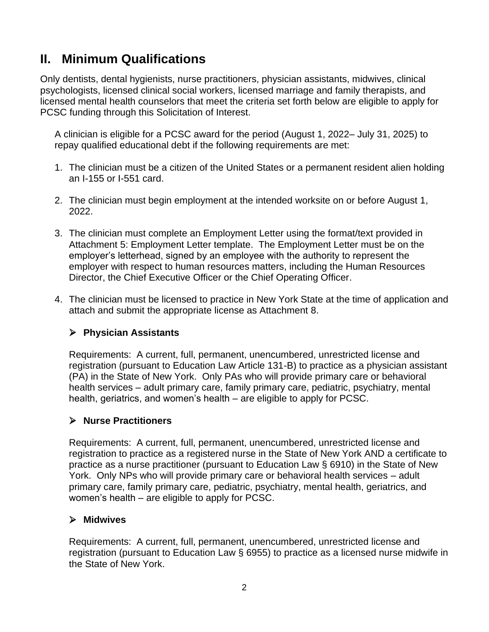# **II. Minimum Qualifications**

Only dentists, dental hygienists, nurse practitioners, physician assistants, midwives, clinical psychologists, licensed clinical social workers, licensed marriage and family therapists, and licensed mental health counselors that meet the criteria set forth below are eligible to apply for PCSC funding through this Solicitation of Interest.

A clinician is eligible for a PCSC award for the period (August 1, 2022– July 31, 2025) to repay qualified educational debt if the following requirements are met:

- 1. The clinician must be a citizen of the United States or a permanent resident alien holding an I-155 or I-551 card.
- 2. The clinician must begin employment at the intended worksite on or before August 1, 2022.
- 3. The clinician must complete an Employment Letter using the format/text provided in Attachment 5: Employment Letter template. The Employment Letter must be on the employer's letterhead, signed by an employee with the authority to represent the employer with respect to human resources matters, including the Human Resources Director, the Chief Executive Officer or the Chief Operating Officer.
- 4. The clinician must be licensed to practice in New York State at the time of application and attach and submit the appropriate license as Attachment 8.

## ➢ **Physician Assistants**

Requirements: A current, full, permanent, unencumbered, unrestricted license and registration (pursuant to Education Law Article 131-B) to practice as a physician assistant (PA) in the State of New York. Only PAs who will provide primary care or behavioral health services – adult primary care, family primary care, pediatric, psychiatry, mental health, geriatrics, and women's health – are eligible to apply for PCSC.

## ➢ **Nurse Practitioners**

Requirements: A current, full, permanent, unencumbered, unrestricted license and registration to practice as a registered nurse in the State of New York AND a certificate to practice as a nurse practitioner (pursuant to Education Law § 6910) in the State of New York. Only NPs who will provide primary care or behavioral health services – adult primary care, family primary care, pediatric, psychiatry, mental health, geriatrics, and women's health – are eligible to apply for PCSC.

## ➢ **Midwives**

Requirements: A current, full, permanent, unencumbered, unrestricted license and registration (pursuant to Education Law § 6955) to practice as a licensed nurse midwife in the State of New York.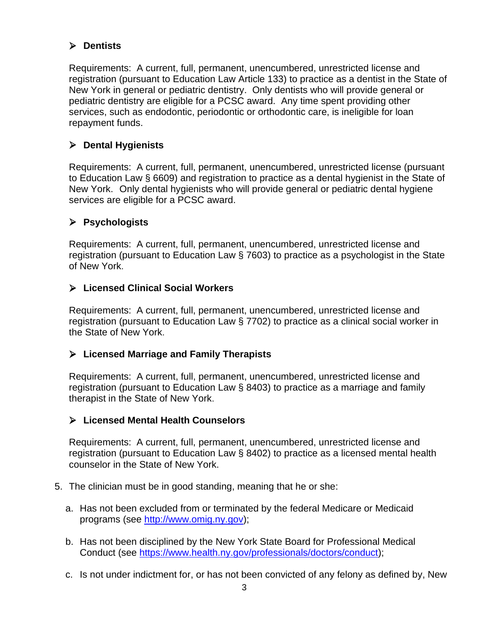# ➢ **Dentists**

Requirements: A current, full, permanent, unencumbered, unrestricted license and registration (pursuant to Education Law Article 133) to practice as a dentist in the State of New York in general or pediatric dentistry. Only dentists who will provide general or pediatric dentistry are eligible for a PCSC award. Any time spent providing other services, such as endodontic, periodontic or orthodontic care, is ineligible for loan repayment funds.

# ➢ **Dental Hygienists**

Requirements: A current, full, permanent, unencumbered, unrestricted license (pursuant to Education Law § 6609) and registration to practice as a dental hygienist in the State of New York. Only dental hygienists who will provide general or pediatric dental hygiene services are eligible for a PCSC award.

# ➢ **Psychologists**

Requirements: A current, full, permanent, unencumbered, unrestricted license and registration (pursuant to Education Law § 7603) to practice as a psychologist in the State of New York.

# ➢ **Licensed Clinical Social Workers**

Requirements: A current, full, permanent, unencumbered, unrestricted license and registration (pursuant to Education Law § 7702) to practice as a clinical social worker in the State of New York.

# ➢ **Licensed Marriage and Family Therapists**

Requirements: A current, full, permanent, unencumbered, unrestricted license and registration (pursuant to Education Law § 8403) to practice as a marriage and family therapist in the State of New York.

# ➢ **Licensed Mental Health Counselors**

Requirements: A current, full, permanent, unencumbered, unrestricted license and registration (pursuant to Education Law § 8402) to practice as a licensed mental health counselor in the State of New York.

- 5. The clinician must be in good standing, meaning that he or she:
	- a. Has not been excluded from or terminated by the federal Medicare or Medicaid programs (see [http://www.omig.ny.gov\)](http://www.omig.ny.gov/);
	- b. Has not been disciplined by the New York State Board for Professional Medical Conduct (see [https://www.health.ny.gov/professionals/doctors/conduct\)](https://www.health.ny.gov/professionals/doctors/conduct);
	- c. Is not under indictment for, or has not been convicted of any felony as defined by, New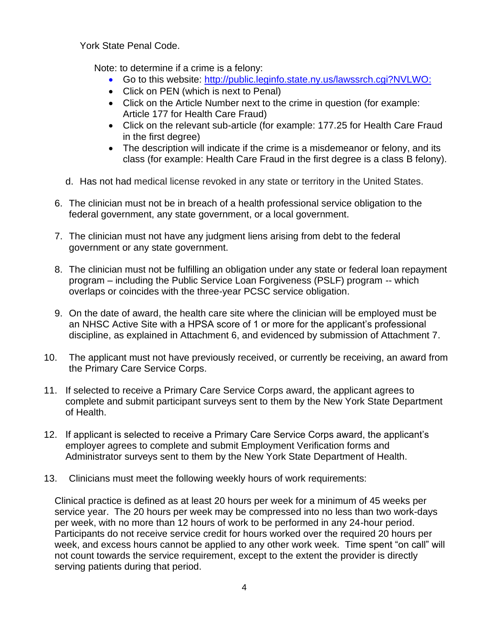York State Penal Code.

Note: to determine if a crime is a felony:

- Go to this website: [http://public.leginfo.state.ny.us/lawssrch.cgi?NVLWO:](http://public.leginfo.state.ny.us/lawssrch.cgi?NVLWO)
- Click on PEN (which is next to Penal)
- Click on the Article Number next to the crime in question (for example: Article 177 for Health Care Fraud)
- Click on the relevant sub-article (for example: 177.25 for Health Care Fraud in the first degree)
- The description will indicate if the crime is a misdemeanor or felony, and its class (for example: Health Care Fraud in the first degree is a class B felony).
- d. Has not had medical license revoked in any state or territory in the United States.
- 6. The clinician must not be in breach of a health professional service obligation to the federal government, any state government, or a local government.
- 7. The clinician must not have any judgment liens arising from debt to the federal government or any state government.
- 8. The clinician must not be fulfilling an obligation under any state or federal loan repayment program – including the Public Service Loan Forgiveness (PSLF) program -- which overlaps or coincides with the three-year PCSC service obligation.
- 9. On the date of award, the health care site where the clinician will be employed must be an NHSC Active Site with a HPSA score of 1 or more for the applicant's professional discipline, as explained in Attachment 6, and evidenced by submission of Attachment 7.
- 10. The applicant must not have previously received, or currently be receiving, an award from the Primary Care Service Corps.
- 11. If selected to receive a Primary Care Service Corps award, the applicant agrees to complete and submit participant surveys sent to them by the New York State Department of Health.
- 12. If applicant is selected to receive a Primary Care Service Corps award, the applicant's employer agrees to complete and submit Employment Verification forms and Administrator surveys sent to them by the New York State Department of Health.
- 13. Clinicians must meet the following weekly hours of work requirements:

Clinical practice is defined as at least 20 hours per week for a minimum of 45 weeks per service year. The 20 hours per week may be compressed into no less than two work-days per week, with no more than 12 hours of work to be performed in any 24-hour period. Participants do not receive service credit for hours worked over the required 20 hours per week, and excess hours cannot be applied to any other work week. Time spent "on call" will not count towards the service requirement, except to the extent the provider is directly serving patients during that period.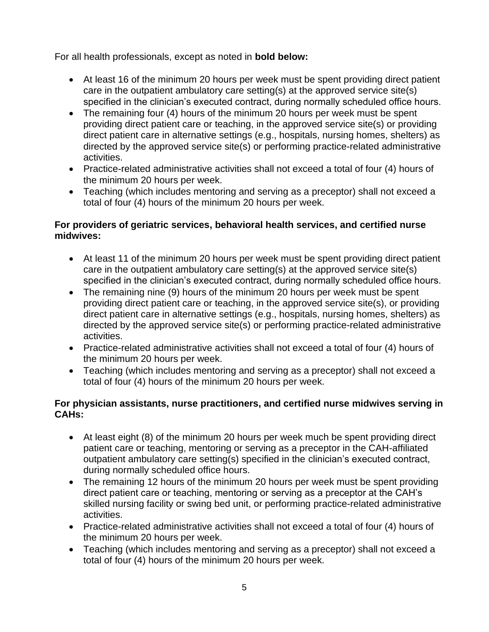For all health professionals, except as noted in **bold below:**

- At least 16 of the minimum 20 hours per week must be spent providing direct patient care in the outpatient ambulatory care setting(s) at the approved service site(s) specified in the clinician's executed contract, during normally scheduled office hours.
- The remaining four (4) hours of the minimum 20 hours per week must be spent providing direct patient care or teaching, in the approved service site(s) or providing direct patient care in alternative settings (e.g., hospitals, nursing homes, shelters) as directed by the approved service site(s) or performing practice-related administrative activities.
- Practice-related administrative activities shall not exceed a total of four (4) hours of the minimum 20 hours per week.
- Teaching (which includes mentoring and serving as a preceptor) shall not exceed a total of four (4) hours of the minimum 20 hours per week.

### **For providers of geriatric services, behavioral health services, and certified nurse midwives:**

- At least 11 of the minimum 20 hours per week must be spent providing direct patient care in the outpatient ambulatory care setting(s) at the approved service site(s) specified in the clinician's executed contract, during normally scheduled office hours.
- The remaining nine (9) hours of the minimum 20 hours per week must be spent providing direct patient care or teaching, in the approved service site(s), or providing direct patient care in alternative settings (e.g., hospitals, nursing homes, shelters) as directed by the approved service site(s) or performing practice-related administrative activities.
- Practice-related administrative activities shall not exceed a total of four (4) hours of the minimum 20 hours per week.
- Teaching (which includes mentoring and serving as a preceptor) shall not exceed a total of four (4) hours of the minimum 20 hours per week.

### **For physician assistants, nurse practitioners, and certified nurse midwives serving in CAHs:**

- At least eight (8) of the minimum 20 hours per week much be spent providing direct patient care or teaching, mentoring or serving as a preceptor in the CAH-affiliated outpatient ambulatory care setting(s) specified in the clinician's executed contract, during normally scheduled office hours.
- The remaining 12 hours of the minimum 20 hours per week must be spent providing direct patient care or teaching, mentoring or serving as a preceptor at the CAH's skilled nursing facility or swing bed unit, or performing practice-related administrative activities.
- Practice-related administrative activities shall not exceed a total of four (4) hours of the minimum 20 hours per week.
- Teaching (which includes mentoring and serving as a preceptor) shall not exceed a total of four (4) hours of the minimum 20 hours per week.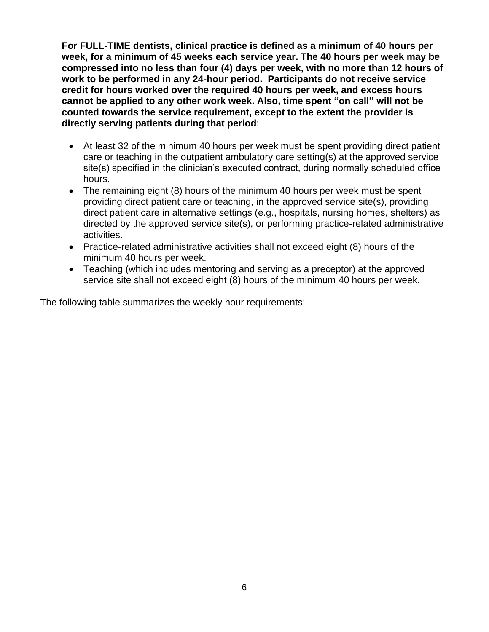**For FULL-TIME dentists, clinical practice is defined as a minimum of 40 hours per week, for a minimum of 45 weeks each service year. The 40 hours per week may be compressed into no less than four (4) days per week, with no more than 12 hours of work to be performed in any 24**‐**hour period. Participants do not receive service credit for hours worked over the required 40 hours per week, and excess hours cannot be applied to any other work week. Also, time spent "on call" will not be counted towards the service requirement, except to the extent the provider is directly serving patients during that period**:

- At least 32 of the minimum 40 hours per week must be spent providing direct patient care or teaching in the outpatient ambulatory care setting(s) at the approved service site(s) specified in the clinician's executed contract, during normally scheduled office hours.
- The remaining eight (8) hours of the minimum 40 hours per week must be spent providing direct patient care or teaching, in the approved service site(s), providing direct patient care in alternative settings (e.g., hospitals, nursing homes, shelters) as directed by the approved service site(s), or performing practice‐related administrative activities.
- Practice-related administrative activities shall not exceed eight (8) hours of the minimum 40 hours per week.
- Teaching (which includes mentoring and serving as a preceptor) at the approved service site shall not exceed eight (8) hours of the minimum 40 hours per week.

The following table summarizes the weekly hour requirements: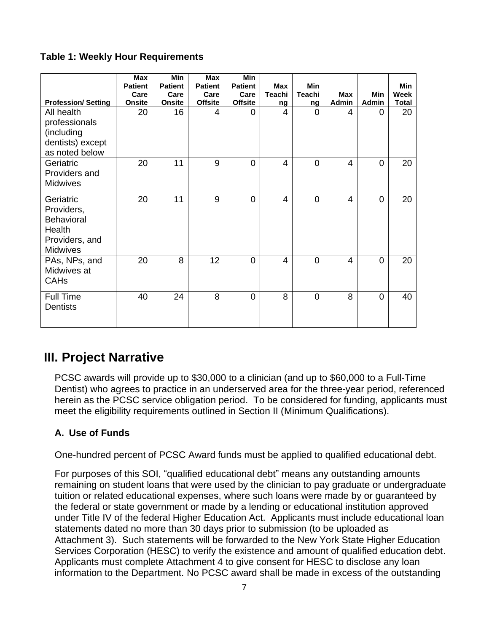## **Table 1: Weekly Hour Requirements**

|                                                                                             | <b>Max</b><br><b>Patient</b><br>Care | <b>Min</b><br><b>Patient</b><br>Care | <b>Max</b><br><b>Patient</b><br>Care | <b>Min</b><br><b>Patient</b><br>Care | <b>Max</b><br><b>Teachi</b> | <b>Min</b><br><b>Teachi</b> | <b>Max</b> | Min            | <b>Min</b><br>Week |
|---------------------------------------------------------------------------------------------|--------------------------------------|--------------------------------------|--------------------------------------|--------------------------------------|-----------------------------|-----------------------------|------------|----------------|--------------------|
| <b>Profession/Setting</b>                                                                   | <b>Onsite</b>                        | <b>Onsite</b>                        | <b>Offsite</b>                       | <b>Offsite</b>                       | ng                          | ng                          | Admin      | <b>Admin</b>   | <b>Total</b>       |
| All health<br>professionals<br>(including<br>dentists) except<br>as noted below             | 20                                   | 16                                   | 4                                    | 0                                    | 4                           | $\Omega$                    | 4          | $\Omega$       | 20                 |
| Geriatric<br>Providers and<br><b>Midwives</b>                                               | 20                                   | 11                                   | 9                                    | $\overline{0}$                       | $\overline{4}$              | $\Omega$                    | 4          | $\overline{0}$ | 20                 |
| Geriatric<br>Providers,<br><b>Behavioral</b><br>Health<br>Providers, and<br><b>Midwives</b> | 20                                   | 11                                   | 9                                    | $\overline{0}$                       | $\overline{4}$              | $\overline{0}$              | 4          | $\overline{0}$ | 20                 |
| PAs, NPs, and<br>Midwives at<br><b>CAHs</b>                                                 | 20                                   | 8                                    | 12                                   | 0                                    | $\overline{4}$              | $\overline{0}$              | 4          | $\overline{0}$ | 20                 |
| <b>Full Time</b><br><b>Dentists</b>                                                         | 40                                   | 24                                   | 8                                    | 0                                    | 8                           | $\Omega$                    | 8          | $\overline{0}$ | 40                 |

# **III. Project Narrative**

PCSC awards will provide up to \$30,000 to a clinician (and up to \$60,000 to a Full-Time Dentist) who agrees to practice in an underserved area for the three-year period, referenced herein as the PCSC service obligation period. To be considered for funding, applicants must meet the eligibility requirements outlined in Section II (Minimum Qualifications).

# **A. Use of Funds**

One-hundred percent of PCSC Award funds must be applied to qualified educational debt.

For purposes of this SOI, "qualified educational debt" means any outstanding amounts remaining on student loans that were used by the clinician to pay graduate or undergraduate tuition or related educational expenses, where such loans were made by or guaranteed by the federal or state government or made by a lending or educational institution approved under Title IV of the federal Higher Education Act. Applicants must include educational loan statements dated no more than 30 days prior to submission (to be uploaded as Attachment 3). Such statements will be forwarded to the New York State Higher Education Services Corporation (HESC) to verify the existence and amount of qualified education debt. Applicants must complete Attachment 4 to give consent for HESC to disclose any loan information to the Department. No PCSC award shall be made in excess of the outstanding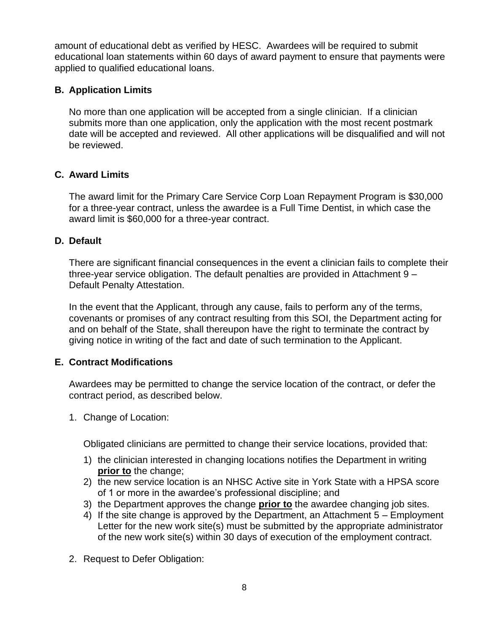amount of educational debt as verified by HESC. Awardees will be required to submit educational loan statements within 60 days of award payment to ensure that payments were applied to qualified educational loans.

## **B. Application Limits**

No more than one application will be accepted from a single clinician. If a clinician submits more than one application, only the application with the most recent postmark date will be accepted and reviewed. All other applications will be disqualified and will not be reviewed.

## **C. Award Limits**

The award limit for the Primary Care Service Corp Loan Repayment Program is \$30,000 for a three-year contract, unless the awardee is a Full Time Dentist, in which case the award limit is \$60,000 for a three-year contract.

## **D. Default**

There are significant financial consequences in the event a clinician fails to complete their three-year service obligation. The default penalties are provided in Attachment 9 – Default Penalty Attestation.

In the event that the Applicant, through any cause, fails to perform any of the terms, covenants or promises of any contract resulting from this SOI, the Department acting for and on behalf of the State, shall thereupon have the right to terminate the contract by giving notice in writing of the fact and date of such termination to the Applicant.

## **E. Contract Modifications**

Awardees may be permitted to change the service location of the contract, or defer the contract period, as described below.

1. Change of Location:

Obligated clinicians are permitted to change their service locations, provided that:

- 1) the clinician interested in changing locations notifies the Department in writing **prior to** the change;
- 2) the new service location is an NHSC Active site in York State with a HPSA score of 1 or more in the awardee's professional discipline; and
- 3) the Department approves the change **prior to** the awardee changing job sites.
- 4) If the site change is approved by the Department, an Attachment 5 Employment Letter for the new work site(s) must be submitted by the appropriate administrator of the new work site(s) within 30 days of execution of the employment contract.
- 2. Request to Defer Obligation: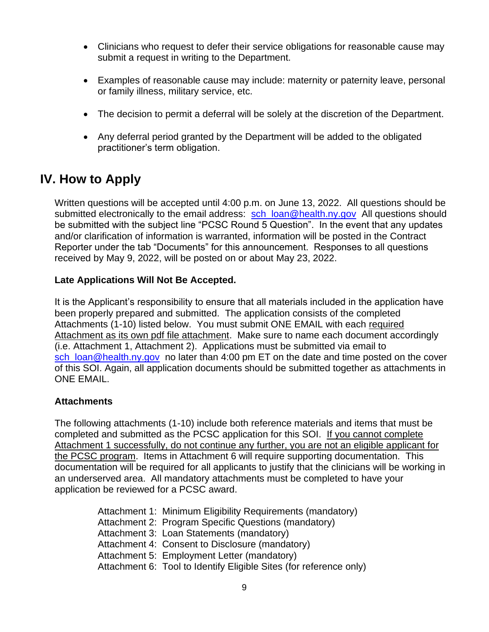- Clinicians who request to defer their service obligations for reasonable cause may submit a request in writing to the Department.
- Examples of reasonable cause may include: maternity or paternity leave, personal or family illness, military service, etc.
- The decision to permit a deferral will be solely at the discretion of the Department.
- Any deferral period granted by the Department will be added to the obligated practitioner's term obligation.

# **IV. How to Apply**

Written questions will be accepted until 4:00 p.m. on June 13, 2022. All questions should be submitted electronically to the email address: [sch\\_loan@health.ny.gov](mailto:sch_loan@health.ny.gov) All questions should be submitted with the subject line "PCSC Round 5 Question". In the event that any updates and/or clarification of information is warranted, information will be posted in the Contract Reporter under the tab "Documents" for this announcement. Responses to all questions received by May 9, 2022, will be posted on or about May 23, 2022.

## **Late Applications Will Not Be Accepted.**

It is the Applicant's responsibility to ensure that all materials included in the application have been properly prepared and submitted. The application consists of the completed Attachments (1-10) listed below. You must submit ONE EMAIL with each required Attachment as its own pdf file attachment. Make sure to name each document accordingly (i.e. Attachment 1, Attachment 2). Applications must be submitted via email to sch\_loan@health.ny.gov\_ no later than 4:00 pm ET on the date and time posted on the cover of this SOI. Again, all application documents should be submitted together as attachments in ONE EMAIL.

## **Attachments**

The following attachments (1-10) include both reference materials and items that must be completed and submitted as the PCSC application for this SOI. If you cannot complete Attachment 1 successfully, do not continue any further, you are not an eligible applicant for the PCSC program. Items in Attachment 6 will require supporting documentation. This documentation will be required for all applicants to justify that the clinicians will be working in an underserved area. All mandatory attachments must be completed to have your application be reviewed for a PCSC award.

> Attachment 1: Minimum Eligibility Requirements (mandatory) Attachment 2: Program Specific Questions (mandatory) Attachment 3: Loan Statements (mandatory) Attachment 4: Consent to Disclosure (mandatory) Attachment 5: Employment Letter (mandatory) Attachment 6: Tool to Identify Eligible Sites (for reference only)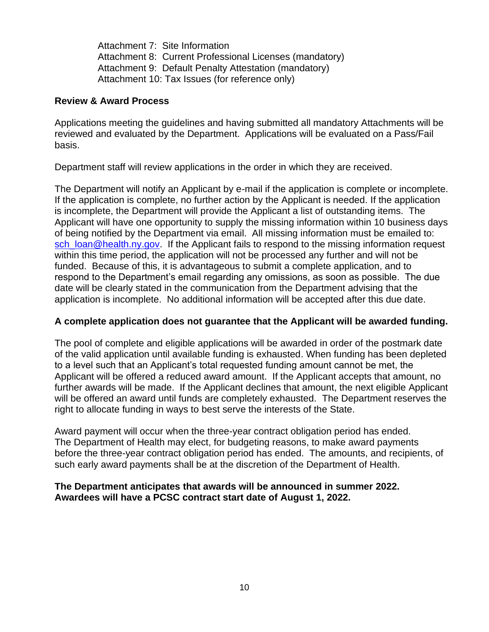Attachment 7: Site Information Attachment 8: Current Professional Licenses (mandatory) Attachment 9: Default Penalty Attestation (mandatory) Attachment 10: Tax Issues (for reference only)

#### **Review & Award Process**

Applications meeting the guidelines and having submitted all mandatory Attachments will be reviewed and evaluated by the Department. Applications will be evaluated on a Pass/Fail basis.

Department staff will review applications in the order in which they are received.

The Department will notify an Applicant by e-mail if the application is complete or incomplete. If the application is complete, no further action by the Applicant is needed. If the application is incomplete, the Department will provide the Applicant a list of outstanding items. The Applicant will have one opportunity to supply the missing information within 10 business days of being notified by the Department via email. All missing information must be emailed to: [sch\\_loan@health.ny.gov.](mailto:sch_loan@health.ny.gov) If the Applicant fails to respond to the missing information request within this time period, the application will not be processed any further and will not be funded. Because of this, it is advantageous to submit a complete application, and to respond to the Department's email regarding any omissions, as soon as possible. The due date will be clearly stated in the communication from the Department advising that the application is incomplete. No additional information will be accepted after this due date.

#### **A complete application does not guarantee that the Applicant will be awarded funding.**

The pool of complete and eligible applications will be awarded in order of the postmark date of the valid application until available funding is exhausted. When funding has been depleted to a level such that an Applicant's total requested funding amount cannot be met, the Applicant will be offered a reduced award amount. If the Applicant accepts that amount, no further awards will be made. If the Applicant declines that amount, the next eligible Applicant will be offered an award until funds are completely exhausted. The Department reserves the right to allocate funding in ways to best serve the interests of the State.

Award payment will occur when the three-year contract obligation period has ended. The Department of Health may elect, for budgeting reasons, to make award payments before the three-year contract obligation period has ended. The amounts, and recipients, of such early award payments shall be at the discretion of the Department of Health.

### **The Department anticipates that awards will be announced in summer 2022. Awardees will have a PCSC contract start date of August 1, 2022.**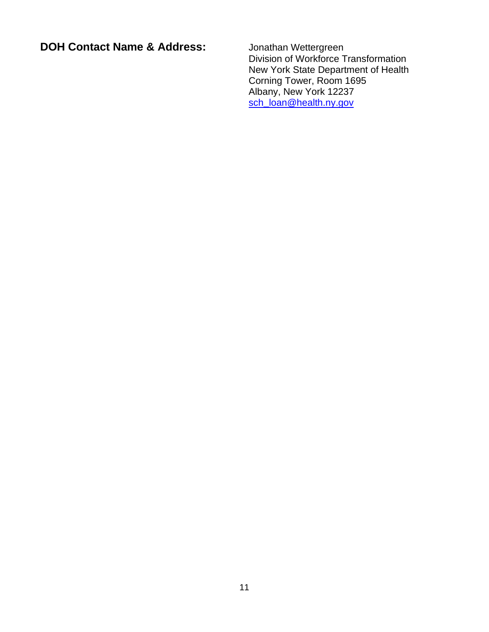**DOH Contact Name & Address:** Jonathan Wettergreen

Division of Workforce Transformation New York State Department of Health Corning Tower, Room 1695 Albany, New York 12237 sch**\_**[loan@health.ny.gov](mailto:sch_loan@health.ny.gov)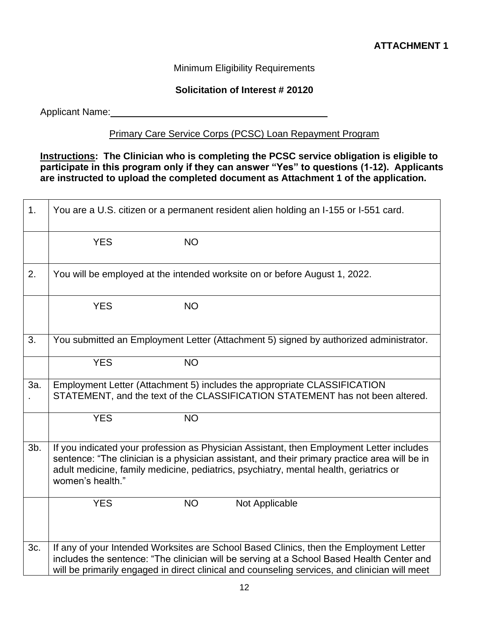## Minimum Eligibility Requirements

#### **Solicitation of Interest # 20120**

Applicant Name: 1980 and 200 and 200 and 200 and 200 and 200 and 200 and 200 and 200 and 200 and 200 and 200 and 200 and 200 and 200 and 200 and 200 and 200 and 200 and 200 and 200 and 200 and 200 and 200 and 200 and 200 a

# Primary Care Service Corps (PCSC) Loan Repayment Program

### **Instructions: The Clinician who is completing the PCSC service obligation is eligible to participate in this program only if they can answer "Yes" to questions (1-12). Applicants are instructed to upload the completed document as Attachment 1 of the application.**

| 1.     | You are a U.S. citizen or a permanent resident alien holding an I-155 or I-551 card.                                                                                                                                                                                                                   |           |                                                                            |  |  |
|--------|--------------------------------------------------------------------------------------------------------------------------------------------------------------------------------------------------------------------------------------------------------------------------------------------------------|-----------|----------------------------------------------------------------------------|--|--|
|        | <b>YES</b>                                                                                                                                                                                                                                                                                             | <b>NO</b> |                                                                            |  |  |
| 2.     |                                                                                                                                                                                                                                                                                                        |           | You will be employed at the intended worksite on or before August 1, 2022. |  |  |
|        | <b>YES</b>                                                                                                                                                                                                                                                                                             | <b>NO</b> |                                                                            |  |  |
| 3.     | You submitted an Employment Letter (Attachment 5) signed by authorized administrator.                                                                                                                                                                                                                  |           |                                                                            |  |  |
|        | <b>YES</b>                                                                                                                                                                                                                                                                                             | <b>NO</b> |                                                                            |  |  |
| 3a.    | Employment Letter (Attachment 5) includes the appropriate CLASSIFICATION<br>STATEMENT, and the text of the CLASSIFICATION STATEMENT has not been altered.                                                                                                                                              |           |                                                                            |  |  |
|        | <b>YES</b>                                                                                                                                                                                                                                                                                             | <b>NO</b> |                                                                            |  |  |
| $3b$ . | If you indicated your profession as Physician Assistant, then Employment Letter includes<br>sentence: "The clinician is a physician assistant, and their primary practice area will be in<br>adult medicine, family medicine, pediatrics, psychiatry, mental health, geriatrics or<br>women's health." |           |                                                                            |  |  |
|        | <b>YES</b>                                                                                                                                                                                                                                                                                             | <b>NO</b> | Not Applicable                                                             |  |  |
| 3c.    | If any of your Intended Worksites are School Based Clinics, then the Employment Letter<br>includes the sentence: "The clinician will be serving at a School Based Health Center and<br>will be primarily engaged in direct clinical and counseling services, and clinician will meet                   |           |                                                                            |  |  |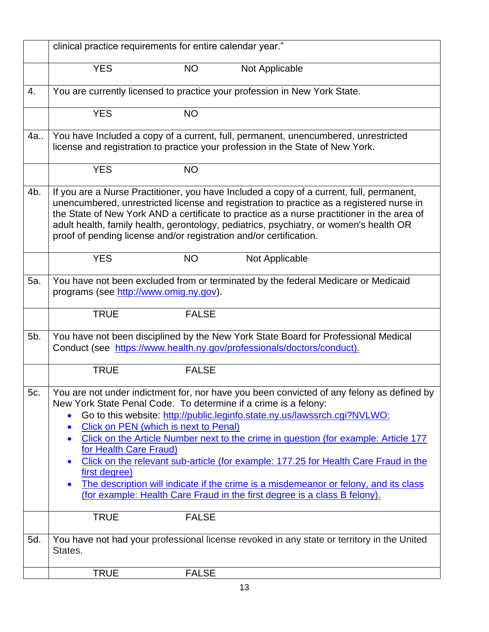|     | clinical practice requirements for entire calendar year."                                                                                                                                                                   |                                                                                                                                                                                                                                                                                                                                                                                                                                                                                                                           |
|-----|-----------------------------------------------------------------------------------------------------------------------------------------------------------------------------------------------------------------------------|---------------------------------------------------------------------------------------------------------------------------------------------------------------------------------------------------------------------------------------------------------------------------------------------------------------------------------------------------------------------------------------------------------------------------------------------------------------------------------------------------------------------------|
|     | <b>YES</b><br><b>NO</b>                                                                                                                                                                                                     | Not Applicable                                                                                                                                                                                                                                                                                                                                                                                                                                                                                                            |
| 4.  |                                                                                                                                                                                                                             | You are currently licensed to practice your profession in New York State.                                                                                                                                                                                                                                                                                                                                                                                                                                                 |
|     | <b>YES</b><br><b>NO</b>                                                                                                                                                                                                     |                                                                                                                                                                                                                                                                                                                                                                                                                                                                                                                           |
| 4a  |                                                                                                                                                                                                                             | You have Included a copy of a current, full, permanent, unencumbered, unrestricted<br>license and registration to practice your profession in the State of New York.                                                                                                                                                                                                                                                                                                                                                      |
|     | <b>YES</b><br><b>NO</b>                                                                                                                                                                                                     |                                                                                                                                                                                                                                                                                                                                                                                                                                                                                                                           |
| 4b. | proof of pending license and/or registration and/or certification.                                                                                                                                                          | If you are a Nurse Practitioner, you have Included a copy of a current, full, permanent,<br>unencumbered, unrestricted license and registration to practice as a registered nurse in<br>the State of New York AND a certificate to practice as a nurse practitioner in the area of<br>adult health, family health, gerontology, pediatrics, psychiatry, or women's health OR                                                                                                                                              |
|     | <b>YES</b><br><b>NO</b>                                                                                                                                                                                                     | Not Applicable                                                                                                                                                                                                                                                                                                                                                                                                                                                                                                            |
| 5a. | programs (see http://www.omig.ny.gov).                                                                                                                                                                                      | You have not been excluded from or terminated by the federal Medicare or Medicaid                                                                                                                                                                                                                                                                                                                                                                                                                                         |
|     | <b>TRUE</b><br><b>FALSE</b>                                                                                                                                                                                                 |                                                                                                                                                                                                                                                                                                                                                                                                                                                                                                                           |
| 5b. |                                                                                                                                                                                                                             | You have not been disciplined by the New York State Board for Professional Medical<br>Conduct (see https://www.health.ny.gov/professionals/doctors/conduct).                                                                                                                                                                                                                                                                                                                                                              |
|     | <b>TRUE</b><br><b>FALSE</b>                                                                                                                                                                                                 |                                                                                                                                                                                                                                                                                                                                                                                                                                                                                                                           |
| 5c. | New York State Penal Code. To determine if a crime is a felony:<br>$\bullet$<br><b>Click on PEN (which is next to Penal)</b><br>$\bullet$<br>$\bullet$<br>for Health Care Fraud)<br>$\bullet$<br>first degree)<br>$\bullet$ | You are not under indictment for, nor have you been convicted of any felony as defined by<br>Go to this website: http://public.leginfo.state.ny.us/lawssrch.cgi?NVLWO:<br>Click on the Article Number next to the crime in question (for example: Article 177<br>Click on the relevant sub-article (for example: 177.25 for Health Care Fraud in the<br>The description will indicate if the crime is a misdemeanor or felony, and its class<br>(for example: Health Care Fraud in the first degree is a class B felony). |
|     | <b>TRUE</b><br><b>FALSE</b>                                                                                                                                                                                                 |                                                                                                                                                                                                                                                                                                                                                                                                                                                                                                                           |
| 5d. | States.                                                                                                                                                                                                                     | You have not had your professional license revoked in any state or territory in the United                                                                                                                                                                                                                                                                                                                                                                                                                                |
|     | <b>TRUE</b><br><b>FALSE</b>                                                                                                                                                                                                 |                                                                                                                                                                                                                                                                                                                                                                                                                                                                                                                           |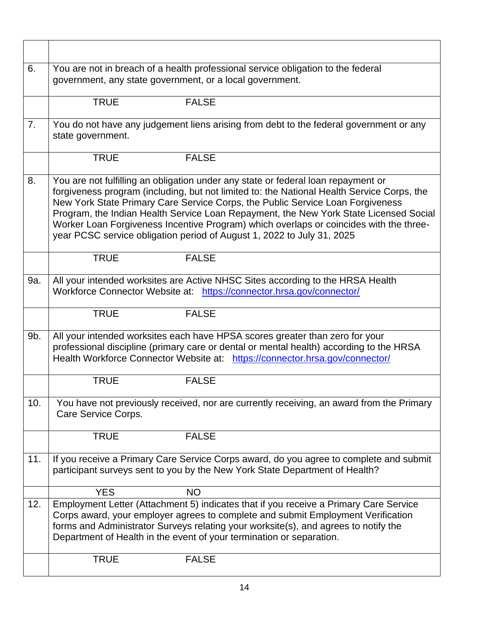| 6.  | You are not in breach of a health professional service obligation to the federal<br>government, any state government, or a local government.                                                                                                                                                                                                                                                                                                                                                                                   |
|-----|--------------------------------------------------------------------------------------------------------------------------------------------------------------------------------------------------------------------------------------------------------------------------------------------------------------------------------------------------------------------------------------------------------------------------------------------------------------------------------------------------------------------------------|
|     | <b>TRUE</b><br><b>FALSE</b>                                                                                                                                                                                                                                                                                                                                                                                                                                                                                                    |
| 7.  | You do not have any judgement liens arising from debt to the federal government or any<br>state government.                                                                                                                                                                                                                                                                                                                                                                                                                    |
|     | <b>TRUE</b><br><b>FALSE</b>                                                                                                                                                                                                                                                                                                                                                                                                                                                                                                    |
| 8.  | You are not fulfilling an obligation under any state or federal loan repayment or<br>forgiveness program (including, but not limited to: the National Health Service Corps, the<br>New York State Primary Care Service Corps, the Public Service Loan Forgiveness<br>Program, the Indian Health Service Loan Repayment, the New York State Licensed Social<br>Worker Loan Forgiveness Incentive Program) which overlaps or coincides with the three-<br>year PCSC service obligation period of August 1, 2022 to July 31, 2025 |
|     | <b>TRUE</b><br><b>FALSE</b>                                                                                                                                                                                                                                                                                                                                                                                                                                                                                                    |
| 9a. | All your intended worksites are Active NHSC Sites according to the HRSA Health<br>Workforce Connector Website at: https://connector.hrsa.gov/connector/                                                                                                                                                                                                                                                                                                                                                                        |
|     | <b>FALSE</b><br><b>TRUE</b>                                                                                                                                                                                                                                                                                                                                                                                                                                                                                                    |
| 9b. | All your intended worksites each have HPSA scores greater than zero for your<br>professional discipline (primary care or dental or mental health) according to the HRSA<br>Health Workforce Connector Website at: https://connector.hrsa.gov/connector/                                                                                                                                                                                                                                                                        |
|     | <b>TRUE</b><br><b>FALSE</b>                                                                                                                                                                                                                                                                                                                                                                                                                                                                                                    |
| 10. | You have not previously received, nor are currently receiving, an award from the Primary<br>Care Service Corps.                                                                                                                                                                                                                                                                                                                                                                                                                |
|     | <b>TRUE</b><br><b>FALSE</b>                                                                                                                                                                                                                                                                                                                                                                                                                                                                                                    |
| 11. | If you receive a Primary Care Service Corps award, do you agree to complete and submit<br>participant surveys sent to you by the New York State Department of Health?                                                                                                                                                                                                                                                                                                                                                          |
|     | <b>YES</b><br><b>NO</b>                                                                                                                                                                                                                                                                                                                                                                                                                                                                                                        |
| 12. | Employment Letter (Attachment 5) indicates that if you receive a Primary Care Service<br>Corps award, your employer agrees to complete and submit Employment Verification<br>forms and Administrator Surveys relating your worksite(s), and agrees to notify the<br>Department of Health in the event of your termination or separation.                                                                                                                                                                                       |
|     | <b>TRUE</b><br><b>FALSE</b>                                                                                                                                                                                                                                                                                                                                                                                                                                                                                                    |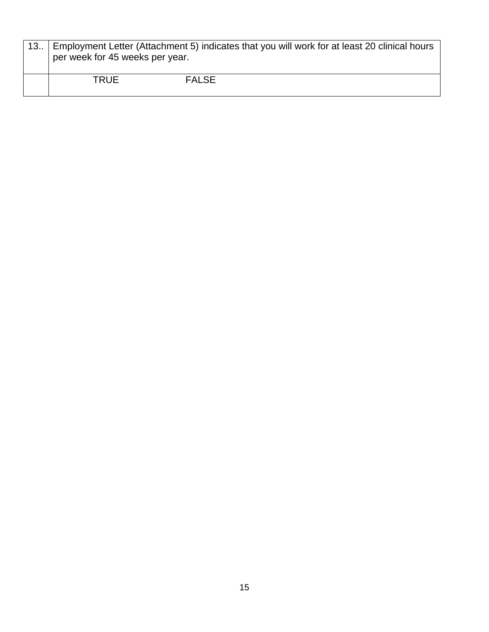| Employment Letter (Attachment 5) indicates that you will work for at least 20 clinical hours<br>per week for 45 weeks per year. |              |  |
|---------------------------------------------------------------------------------------------------------------------------------|--------------|--|
| TRUE                                                                                                                            | <b>FALSE</b> |  |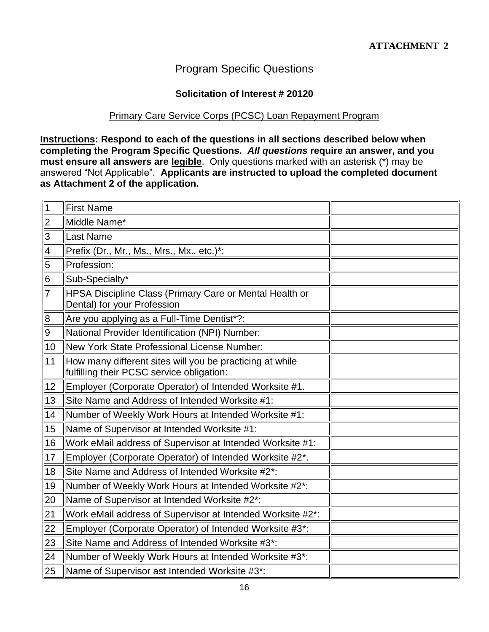# Program Specific Questions

#### **Solicitation of Interest # 20120**

## Primary Care Service Corps (PCSC) Loan Repayment Program

**Instructions: Respond to each of the questions in all sections described below when completing the Program Specific Questions.** *All questions* **require an answer, and you must ensure all answers are legible**. Only questions marked with an asterisk (\*) may be answered "Not Applicable". **Applicants are instructed to upload the completed document as Attachment 2 of the application.**

| $\vert$ 1      | <b>First Name</b>                                                                                     |  |
|----------------|-------------------------------------------------------------------------------------------------------|--|
| $\overline{2}$ | Middle Name*                                                                                          |  |
| $\overline{3}$ | Last Name                                                                                             |  |
| $\vert 4$      | Prefix (Dr., Mr., Ms., Mrs., Mx., etc.)*:                                                             |  |
| $\overline{5}$ | Profession:                                                                                           |  |
| $\overline{6}$ | Sub-Specialty*                                                                                        |  |
| $\overline{7}$ | <b>HPSA Discipline Class (Primary Care or Mental Health or</b><br>Dental) for your Profession         |  |
| $\mathbf{8}$   | Are you applying as a Full-Time Dentist*?:                                                            |  |
| $\overline{9}$ | National Provider Identification (NPI) Number:                                                        |  |
| 10             | New York State Professional License Number:                                                           |  |
| 11             | How many different sites will you be practicing at while<br>fulfilling their PCSC service obligation: |  |
| 12             | Employer (Corporate Operator) of Intended Worksite #1.                                                |  |
| 13             | Site Name and Address of Intended Worksite #1:                                                        |  |
| 14             | Number of Weekly Work Hours at Intended Worksite #1:                                                  |  |
| 15             | Name of Supervisor at Intended Worksite #1:                                                           |  |
| 16             | Work eMail address of Supervisor at Intended Worksite #1:                                             |  |
| 17             | Employer (Corporate Operator) of Intended Worksite #2*.                                               |  |
| 18             | Site Name and Address of Intended Worksite #2*:                                                       |  |
| 19             | Number of Weekly Work Hours at Intended Worksite #2*:                                                 |  |
| 20             | Name of Supervisor at Intended Worksite #2*:                                                          |  |
| 21             | Work eMail address of Supervisor at Intended Worksite #2*:                                            |  |
| 22             | Employer (Corporate Operator) of Intended Worksite #3*:                                               |  |
| 23             | Site Name and Address of Intended Worksite #3*:                                                       |  |
| 24             | Number of Weekly Work Hours at Intended Worksite #3*:                                                 |  |
| 25             | Name of Supervisor ast Intended Worksite #3*:                                                         |  |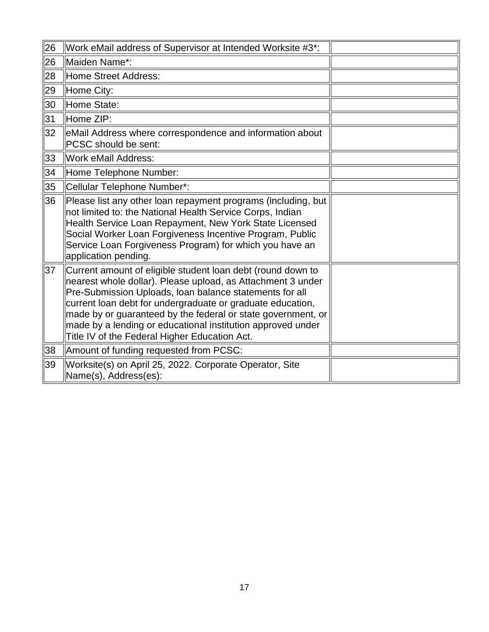| 26 | Work eMail address of Supervisor at Intended Worksite #3*:                                                                                                                                                                                                                                                                                                                                                                          |  |
|----|-------------------------------------------------------------------------------------------------------------------------------------------------------------------------------------------------------------------------------------------------------------------------------------------------------------------------------------------------------------------------------------------------------------------------------------|--|
| 26 | Maiden Name*:                                                                                                                                                                                                                                                                                                                                                                                                                       |  |
| 28 | Home Street Address:                                                                                                                                                                                                                                                                                                                                                                                                                |  |
| 29 | Home City:                                                                                                                                                                                                                                                                                                                                                                                                                          |  |
| 30 | Home State:                                                                                                                                                                                                                                                                                                                                                                                                                         |  |
| 31 | Home ZIP:                                                                                                                                                                                                                                                                                                                                                                                                                           |  |
| 32 | eMail Address where correspondence and information about<br>PCSC should be sent:                                                                                                                                                                                                                                                                                                                                                    |  |
| 33 | <b>Work eMail Address:</b>                                                                                                                                                                                                                                                                                                                                                                                                          |  |
| 34 | Home Telephone Number:                                                                                                                                                                                                                                                                                                                                                                                                              |  |
| 35 | Cellular Telephone Number*:                                                                                                                                                                                                                                                                                                                                                                                                         |  |
| 36 | Please list any other loan repayment programs (including, but<br>not limited to: the National Health Service Corps, Indian<br>Health Service Loan Repayment, New York State Licensed<br>Social Worker Loan Forgiveness Incentive Program, Public<br>Service Loan Forgiveness Program) for which you have an<br>application pending.                                                                                                 |  |
| 37 | Current amount of eligible student loan debt (round down to<br>nearest whole dollar). Please upload, as Attachment 3 under<br>Pre-Submission Uploads, Ioan balance statements for all<br>current loan debt for undergraduate or graduate education,<br>made by or guaranteed by the federal or state government, or<br>made by a lending or educational institution approved under<br>Title IV of the Federal Higher Education Act. |  |
| 38 | Amount of funding requested from PCSC:                                                                                                                                                                                                                                                                                                                                                                                              |  |
| 39 | Worksite(s) on April 25, 2022. Corporate Operator, Site<br>Name(s), Address(es):                                                                                                                                                                                                                                                                                                                                                    |  |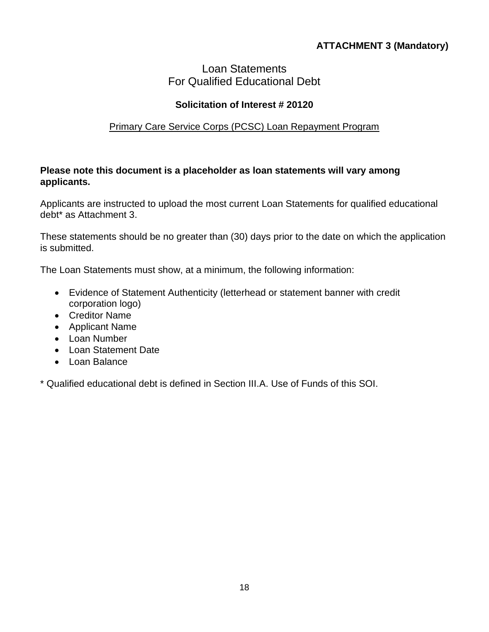# **ATTACHMENT 3 (Mandatory)**

# Loan Statements For Qualified Educational Debt

## **Solicitation of Interest # 20120**

#### Primary Care Service Corps (PCSC) Loan Repayment Program

#### **Please note this document is a placeholder as loan statements will vary among applicants.**

Applicants are instructed to upload the most current Loan Statements for qualified educational debt\* as Attachment 3.

These statements should be no greater than (30) days prior to the date on which the application is submitted.

The Loan Statements must show, at a minimum, the following information:

- Evidence of Statement Authenticity (letterhead or statement banner with credit corporation logo)
- Creditor Name
- Applicant Name
- Loan Number
- Loan Statement Date
- Loan Balance

\* Qualified educational debt is defined in Section III.A. Use of Funds of this SOI.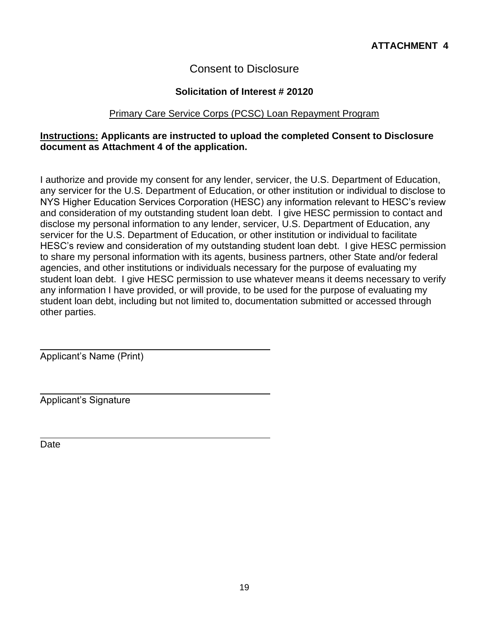# Consent to Disclosure

### **Solicitation of Interest # 20120**

#### Primary Care Service Corps (PCSC) Loan Repayment Program

### **Instructions: Applicants are instructed to upload the completed Consent to Disclosure document as Attachment 4 of the application.**

I authorize and provide my consent for any lender, servicer, the U.S. Department of Education, any servicer for the U.S. Department of Education, or other institution or individual to disclose to NYS Higher Education Services Corporation (HESC) any information relevant to HESC's review and consideration of my outstanding student loan debt. I give HESC permission to contact and disclose my personal information to any lender, servicer, U.S. Department of Education, any servicer for the U.S. Department of Education, or other institution or individual to facilitate HESC's review and consideration of my outstanding student loan debt. I give HESC permission to share my personal information with its agents, business partners, other State and/or federal agencies, and other institutions or individuals necessary for the purpose of evaluating my student loan debt. I give HESC permission to use whatever means it deems necessary to verify any information I have provided, or will provide, to be used for the purpose of evaluating my student loan debt, including but not limited to, documentation submitted or accessed through other parties.

Applicant's Name (Print)

Applicant's Signature

Date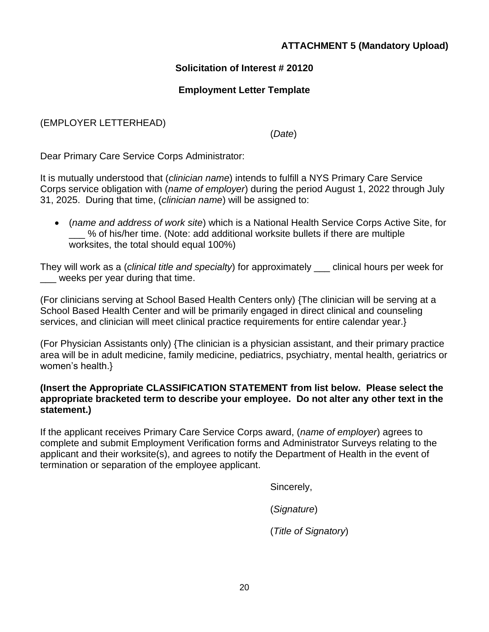## **ATTACHMENT 5 (Mandatory Upload)**

### **Solicitation of Interest # 20120**

#### **Employment Letter Template**

#### (EMPLOYER LETTERHEAD)

(*Date*)

Dear Primary Care Service Corps Administrator:

It is mutually understood that (*clinician name*) intends to fulfill a NYS Primary Care Service Corps service obligation with (*name of employer*) during the period August 1, 2022 through July 31, 2025. During that time, (*clinician name*) will be assigned to:

• (*name and address of work site*) which is a National Health Service Corps Active Site, for \_\_\_ % of his/her time. (Note: add additional worksite bullets if there are multiple worksites, the total should equal 100%)

They will work as a (*clinical title and specialty*) for approximately \_\_\_ clinical hours per week for weeks per year during that time.

(For clinicians serving at School Based Health Centers only) {The clinician will be serving at a School Based Health Center and will be primarily engaged in direct clinical and counseling services, and clinician will meet clinical practice requirements for entire calendar year.}

(For Physician Assistants only) {The clinician is a physician assistant, and their primary practice area will be in adult medicine, family medicine, pediatrics, psychiatry, mental health, geriatrics or women's health.}

#### **(Insert the Appropriate CLASSIFICATION STATEMENT from list below. Please select the appropriate bracketed term to describe your employee. Do not alter any other text in the statement.)**

If the applicant receives Primary Care Service Corps award, (*name of employer*) agrees to complete and submit Employment Verification forms and Administrator Surveys relating to the applicant and their worksite(s), and agrees to notify the Department of Health in the event of termination or separation of the employee applicant.

Sincerely,

(*Signature*)

(*Title of Signatory*)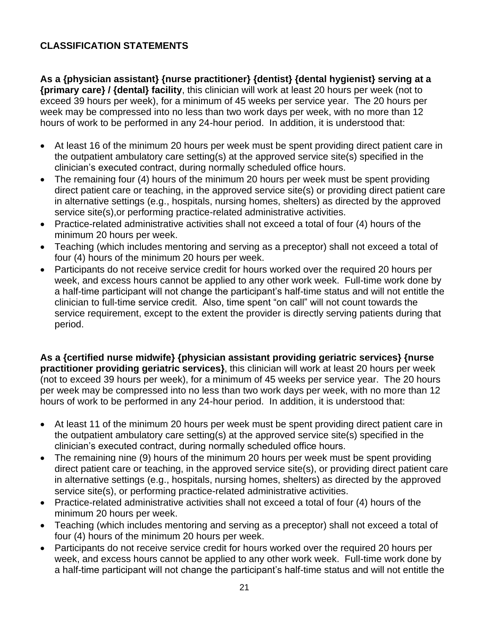## **CLASSIFICATION STATEMENTS**

**As a {physician assistant} {nurse practitioner} {dentist} {dental hygienist} serving at a {primary care} / {dental} facility**, this clinician will work at least 20 hours per week (not to exceed 39 hours per week), for a minimum of 45 weeks per service year. The 20 hours per week may be compressed into no less than two work days per week, with no more than 12 hours of work to be performed in any 24-hour period. In addition, it is understood that:

- At least 16 of the minimum 20 hours per week must be spent providing direct patient care in the outpatient ambulatory care setting(s) at the approved service site(s) specified in the clinician's executed contract, during normally scheduled office hours.
- The remaining four (4) hours of the minimum 20 hours per week must be spent providing direct patient care or teaching, in the approved service site(s) or providing direct patient care in alternative settings (e.g., hospitals, nursing homes, shelters) as directed by the approved service site(s),or performing practice-related administrative activities.
- Practice-related administrative activities shall not exceed a total of four (4) hours of the minimum 20 hours per week.
- Teaching (which includes mentoring and serving as a preceptor) shall not exceed a total of four (4) hours of the minimum 20 hours per week.
- Participants do not receive service credit for hours worked over the required 20 hours per week, and excess hours cannot be applied to any other work week. Full-time work done by a half-time participant will not change the participant's half-time status and will not entitle the clinician to full-time service credit. Also, time spent "on call" will not count towards the service requirement, except to the extent the provider is directly serving patients during that period.

**As a {certified nurse midwife} {physician assistant providing geriatric services} {nurse practitioner providing geriatric services}**, this clinician will work at least 20 hours per week (not to exceed 39 hours per week), for a minimum of 45 weeks per service year. The 20 hours per week may be compressed into no less than two work days per week, with no more than 12 hours of work to be performed in any 24-hour period. In addition, it is understood that:

- At least 11 of the minimum 20 hours per week must be spent providing direct patient care in the outpatient ambulatory care setting(s) at the approved service site(s) specified in the clinician's executed contract, during normally scheduled office hours.
- The remaining nine (9) hours of the minimum 20 hours per week must be spent providing direct patient care or teaching, in the approved service site(s), or providing direct patient care in alternative settings (e.g., hospitals, nursing homes, shelters) as directed by the approved service site(s), or performing practice-related administrative activities.
- Practice-related administrative activities shall not exceed a total of four (4) hours of the minimum 20 hours per week.
- Teaching (which includes mentoring and serving as a preceptor) shall not exceed a total of four (4) hours of the minimum 20 hours per week.
- Participants do not receive service credit for hours worked over the required 20 hours per week, and excess hours cannot be applied to any other work week. Full-time work done by a half-time participant will not change the participant's half-time status and will not entitle the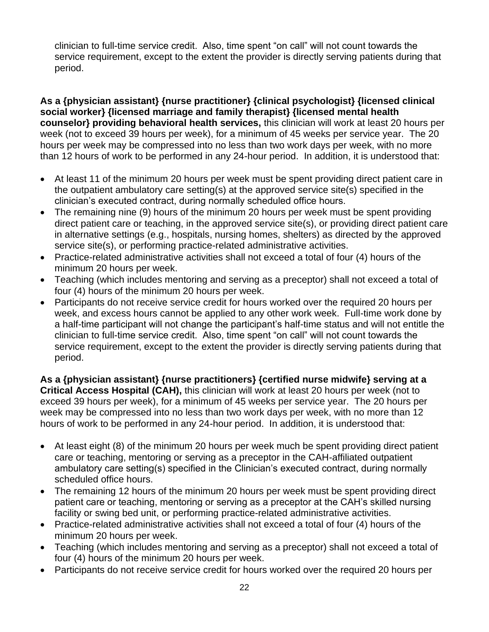clinician to full-time service credit. Also, time spent "on call" will not count towards the service requirement, except to the extent the provider is directly serving patients during that period.

**As a {physician assistant} {nurse practitioner} {clinical psychologist} {licensed clinical social worker} {licensed marriage and family therapist} {licensed mental health counselor} providing behavioral health services,** this clinician will work at least 20 hours per week (not to exceed 39 hours per week), for a minimum of 45 weeks per service year. The 20 hours per week may be compressed into no less than two work days per week, with no more than 12 hours of work to be performed in any 24-hour period. In addition, it is understood that:

- At least 11 of the minimum 20 hours per week must be spent providing direct patient care in the outpatient ambulatory care setting(s) at the approved service site(s) specified in the clinician's executed contract, during normally scheduled office hours.
- The remaining nine (9) hours of the minimum 20 hours per week must be spent providing direct patient care or teaching, in the approved service site(s), or providing direct patient care in alternative settings (e.g., hospitals, nursing homes, shelters) as directed by the approved service site(s), or performing practice-related administrative activities.
- Practice-related administrative activities shall not exceed a total of four (4) hours of the minimum 20 hours per week.
- Teaching (which includes mentoring and serving as a preceptor) shall not exceed a total of four (4) hours of the minimum 20 hours per week.
- Participants do not receive service credit for hours worked over the required 20 hours per week, and excess hours cannot be applied to any other work week. Full-time work done by a half-time participant will not change the participant's half-time status and will not entitle the clinician to full-time service credit. Also, time spent "on call" will not count towards the service requirement, except to the extent the provider is directly serving patients during that period.

**As a {physician assistant} {nurse practitioners} {certified nurse midwife} serving at a Critical Access Hospital (CAH),** this clinician will work at least 20 hours per week (not to exceed 39 hours per week), for a minimum of 45 weeks per service year. The 20 hours per week may be compressed into no less than two work days per week, with no more than 12 hours of work to be performed in any 24-hour period. In addition, it is understood that:

- At least eight (8) of the minimum 20 hours per week much be spent providing direct patient care or teaching, mentoring or serving as a preceptor in the CAH-affiliated outpatient ambulatory care setting(s) specified in the Clinician's executed contract, during normally scheduled office hours.
- The remaining 12 hours of the minimum 20 hours per week must be spent providing direct patient care or teaching, mentoring or serving as a preceptor at the CAH's skilled nursing facility or swing bed unit, or performing practice-related administrative activities.
- Practice-related administrative activities shall not exceed a total of four (4) hours of the minimum 20 hours per week.
- Teaching (which includes mentoring and serving as a preceptor) shall not exceed a total of four (4) hours of the minimum 20 hours per week.
- Participants do not receive service credit for hours worked over the required 20 hours per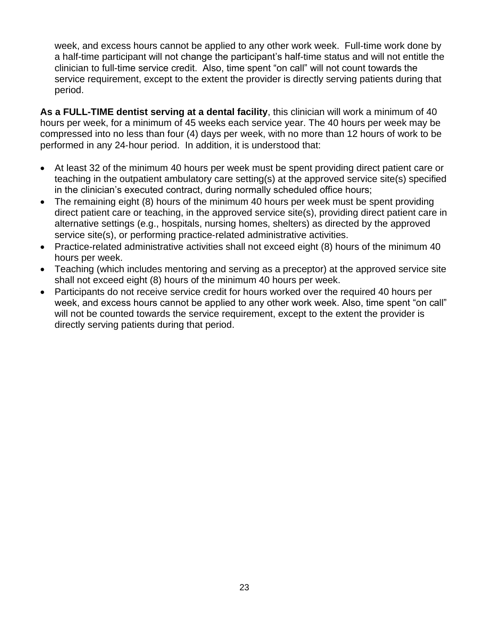week, and excess hours cannot be applied to any other work week. Full-time work done by a half-time participant will not change the participant's half-time status and will not entitle the clinician to full-time service credit. Also, time spent "on call" will not count towards the service requirement, except to the extent the provider is directly serving patients during that period.

**As a FULL-TIME dentist serving at a dental facility**, this clinician will work a minimum of 40 hours per week, for a minimum of 45 weeks each service year. The 40 hours per week may be compressed into no less than four (4) days per week, with no more than 12 hours of work to be performed in any 24‐hour period. In addition, it is understood that:

- At least 32 of the minimum 40 hours per week must be spent providing direct patient care or teaching in the outpatient ambulatory care setting(s) at the approved service site(s) specified in the clinician's executed contract, during normally scheduled office hours;
- The remaining eight (8) hours of the minimum 40 hours per week must be spent providing direct patient care or teaching, in the approved service site(s), providing direct patient care in alternative settings (e.g., hospitals, nursing homes, shelters) as directed by the approved service site(s), or performing practice-related administrative activities.
- Practice-related administrative activities shall not exceed eight (8) hours of the minimum 40 hours per week.
- Teaching (which includes mentoring and serving as a preceptor) at the approved service site shall not exceed eight (8) hours of the minimum 40 hours per week.
- Participants do not receive service credit for hours worked over the required 40 hours per week, and excess hours cannot be applied to any other work week. Also, time spent "on call" will not be counted towards the service requirement, except to the extent the provider is directly serving patients during that period.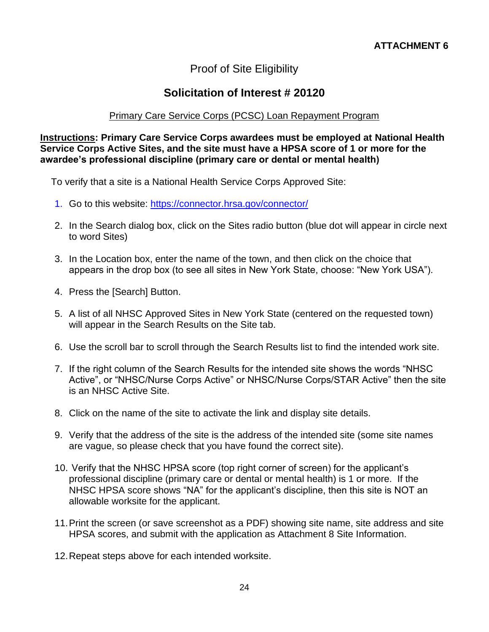# Proof of Site Eligibility

# **Solicitation of Interest # 20120**

#### Primary Care Service Corps (PCSC) Loan Repayment Program

#### **Instructions: Primary Care Service Corps awardees must be employed at National Health Service Corps Active Sites, and the site must have a HPSA score of 1 or more for the awardee's professional discipline (primary care or dental or mental health)**

To verify that a site is a National Health Service Corps Approved Site:

- 1. Go to this website:<https://connector.hrsa.gov/connector/>
- 2. In the Search dialog box, click on the Sites radio button (blue dot will appear in circle next to word Sites)
- 3. In the Location box, enter the name of the town, and then click on the choice that appears in the drop box (to see all sites in New York State, choose: "New York USA").
- 4. Press the [Search] Button.
- 5. A list of all NHSC Approved Sites in New York State (centered on the requested town) will appear in the Search Results on the Site tab.
- 6. Use the scroll bar to scroll through the Search Results list to find the intended work site.
- 7. If the right column of the Search Results for the intended site shows the words "NHSC Active", or "NHSC/Nurse Corps Active" or NHSC/Nurse Corps/STAR Active" then the site is an NHSC Active Site.
- 8. Click on the name of the site to activate the link and display site details.
- 9. Verify that the address of the site is the address of the intended site (some site names are vague, so please check that you have found the correct site).
- 10. Verify that the NHSC HPSA score (top right corner of screen) for the applicant's professional discipline (primary care or dental or mental health) is 1 or more. If the NHSC HPSA score shows "NA" for the applicant's discipline, then this site is NOT an allowable worksite for the applicant.
- 11.Print the screen (or save screenshot as a PDF) showing site name, site address and site HPSA scores, and submit with the application as Attachment 8 Site Information.
- 12.Repeat steps above for each intended worksite.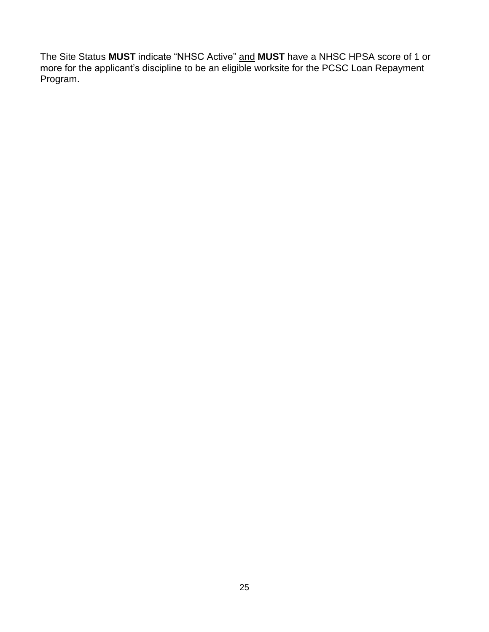The Site Status **MUST** indicate "NHSC Active" and **MUST** have a NHSC HPSA score of 1 or more for the applicant's discipline to be an eligible worksite for the PCSC Loan Repayment Program.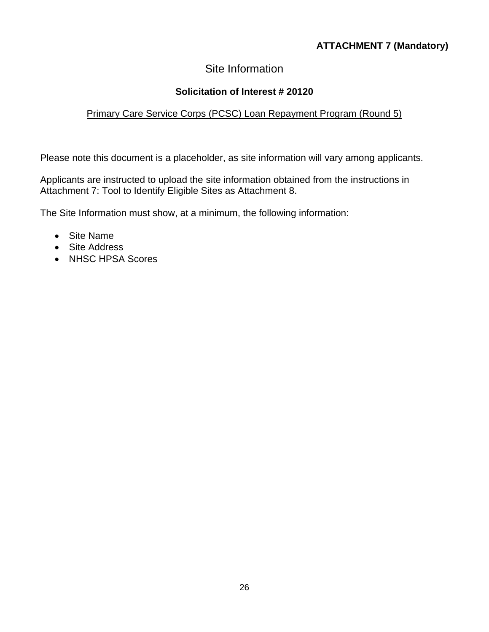# **ATTACHMENT 7 (Mandatory)**

# Site Information

## **Solicitation of Interest # 20120**

## Primary Care Service Corps (PCSC) Loan Repayment Program (Round 5)

Please note this document is a placeholder, as site information will vary among applicants.

Applicants are instructed to upload the site information obtained from the instructions in Attachment 7: Tool to Identify Eligible Sites as Attachment 8.

The Site Information must show, at a minimum, the following information:

- Site Name
- Site Address
- NHSC HPSA Scores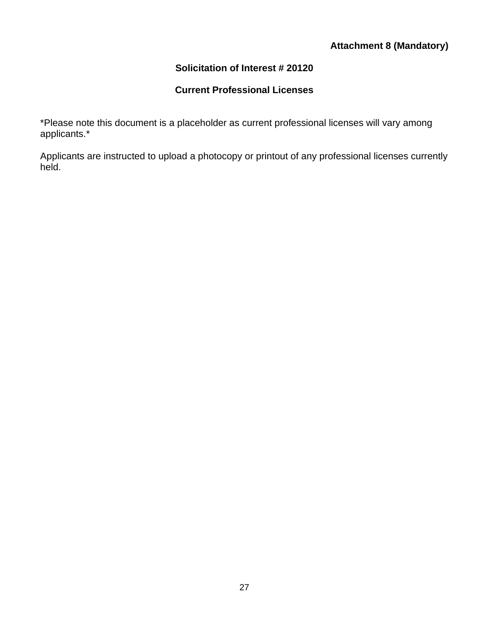## **Attachment 8 (Mandatory)**

## **Solicitation of Interest # 20120**

# **Current Professional Licenses**

\*Please note this document is a placeholder as current professional licenses will vary among applicants.\*

Applicants are instructed to upload a photocopy or printout of any professional licenses currently held.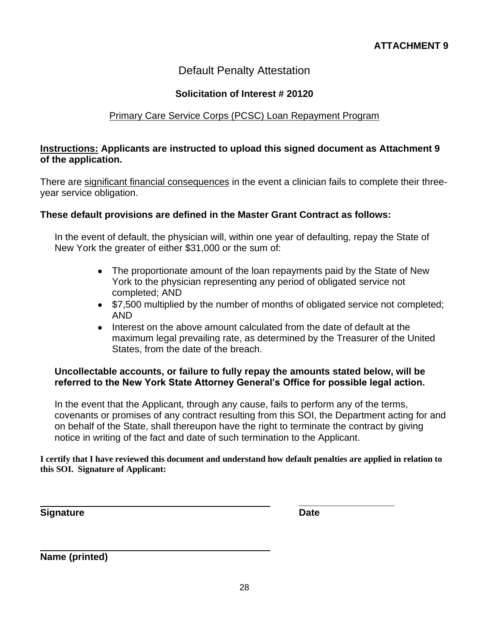# Default Penalty Attestation

#### **Solicitation of Interest # 20120**

#### Primary Care Service Corps (PCSC) Loan Repayment Program

#### **Instructions: Applicants are instructed to upload this signed document as Attachment 9 of the application.**

There are significant financial consequences in the event a clinician fails to complete their threeyear service obligation.

#### **These default provisions are defined in the Master Grant Contract as follows:**

In the event of default, the physician will, within one year of defaulting, repay the State of New York the greater of either \$31,000 or the sum of:

- The proportionate amount of the loan repayments paid by the State of New York to the physician representing any period of obligated service not completed; AND
- \$7,500 multiplied by the number of months of obligated service not completed; AND
- Interest on the above amount calculated from the date of default at the maximum legal prevailing rate, as determined by the Treasurer of the United States, from the date of the breach.

#### **Uncollectable accounts, or failure to fully repay the amounts stated below, will be referred to the New York State Attorney General's Office for possible legal action.**

In the event that the Applicant, through any cause, fails to perform any of the terms, covenants or promises of any contract resulting from this SOI, the Department acting for and on behalf of the State, shall thereupon have the right to terminate the contract by giving notice in writing of the fact and date of such termination to the Applicant.

**I certify that I have reviewed this document and understand how default penalties are applied in relation to this SOI. Signature of Applicant:** 

**Signature Date**

**\_\_\_\_\_\_\_\_\_\_\_\_\_\_\_\_\_\_**

**Name (printed)**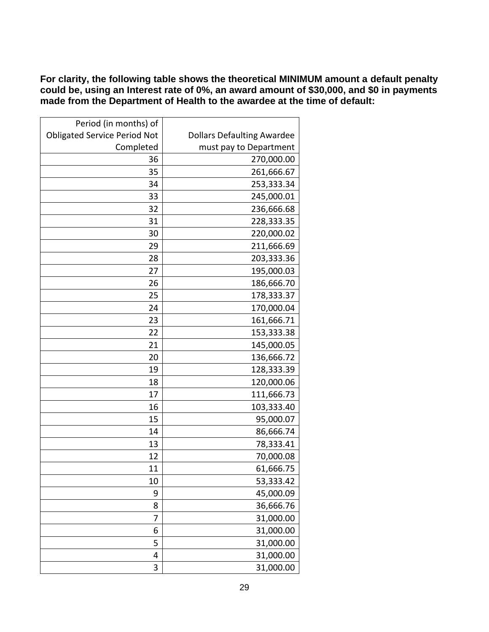**For clarity, the following table shows the theoretical MINIMUM amount a default penalty could be, using an Interest rate of 0%, an award amount of \$30,000, and \$0 in payments made from the Department of Health to the awardee at the time of default:**

| Period (in months) of               |                                   |
|-------------------------------------|-----------------------------------|
| <b>Obligated Service Period Not</b> | <b>Dollars Defaulting Awardee</b> |
| Completed                           | must pay to Department            |
| 36                                  | 270,000.00                        |
| 35                                  | 261,666.67                        |
| 34                                  | 253,333.34                        |
| 33                                  | 245,000.01                        |
| 32                                  | 236,666.68                        |
| 31                                  | 228,333.35                        |
| 30                                  | 220,000.02                        |
| 29                                  | 211,666.69                        |
| 28                                  | 203,333.36                        |
| 27                                  | 195,000.03                        |
| 26                                  | 186,666.70                        |
| 25                                  | 178,333.37                        |
| 24                                  | 170,000.04                        |
| 23                                  | 161,666.71                        |
| 22                                  | 153,333.38                        |
| 21                                  | 145,000.05                        |
| 20                                  | 136,666.72                        |
| 19                                  | 128,333.39                        |
| 18                                  | 120,000.06                        |
| 17                                  | 111,666.73                        |
| 16                                  | 103,333.40                        |
| 15                                  | 95,000.07                         |
| 14                                  | 86,666.74                         |
| 13                                  | 78,333.41                         |
| 12                                  | 70,000.08                         |
| 11                                  | 61,666.75                         |
| 10                                  | 53,333.42                         |
| 9                                   | 45,000.09                         |
| 8                                   | 36,666.76                         |
| 7                                   | 31,000.00                         |
| 6                                   | 31,000.00                         |
| 5                                   | 31,000.00                         |
| 4                                   | 31,000.00                         |
| 3                                   | 31,000.00                         |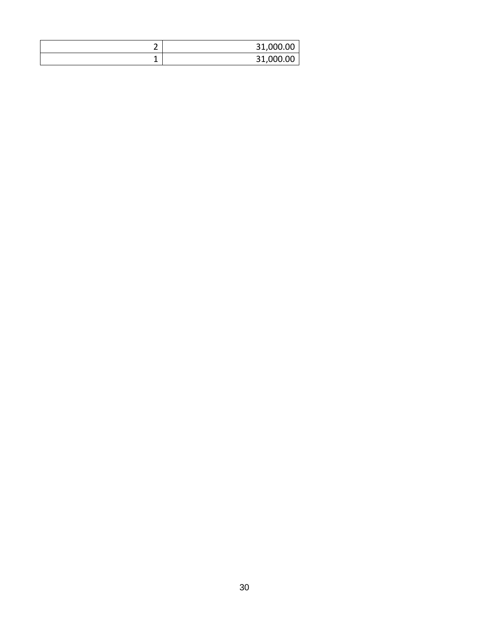| - | 31,000.00 |
|---|-----------|
|   | 31,000.00 |